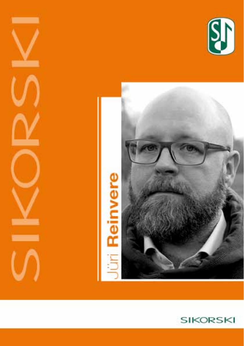



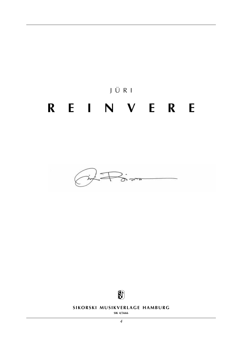





**SIKORSKI MUSIKVERLAGE HAMBURG** 

**sik 4/5666**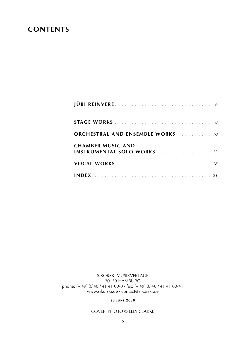### **contents**

| <b>ORCHESTRAL AND ENSEMBLE WORKS</b> 10                       |
|---------------------------------------------------------------|
| <b>CHAMBER MUSIC AND</b><br><b>INSTRUMENTAL SOLO WORKS</b> 13 |
|                                                               |
|                                                               |

sikorski Musikverlage 20139 hamburg phone: (+ 49) (0)40 / 41 41 00-0 · fax: (+ 49) (0)40 / 41 41 00-41 www.sikorski.de · contact@sikorski.de

**23 j u n e 2020**

cover photo © elly clarke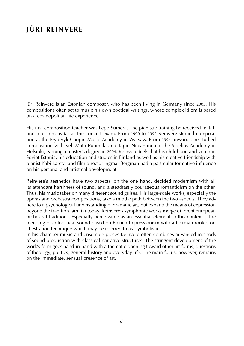# **jüri reinvere**

Jüri Reinvere is an Estonian composer, who has been living in Germany since 2005. His compositions often set to music his own poetical writings, whose complex idiom is based on a cosmopolitan life experience.

His first composition teacher was Lepo Sumera. The pianistic training he received in Tallinn took him as far as the concert exam. From 1990 to 1992 Reinvere studied composition at the Fryderyk-Chopin-Music-Academy in Warsaw. From 1994 onwards, he studied composition with Veli-Matti Puumala and Tapio Nevanlinna at the Sibelius Academy in Helsinki, earning a master's degree in 2004. Reinvere feels that his childhood and youth in Soviet Estonia, his education and studies in Finland as well as his creative friendship with pianist Käbi Laretei and film director Ingmar Bergman had a particular formative influence on his personal and artistical development.

Reinvere's aesthetics have two aspects: on the one hand, decided modernism with all its attendant harshness of sound, and a steadfastly courageous romanticism on the other. Thus, his music takes on many different sound guises. His large-scale works, especially the operas and orchestra compositions, take a middle path between the two aspects. They adhere to a psychological understanding of dramatic art, but expand the means of expression beyond the tradition familiar today. Reinvere's symphonic works merge different european orchestral traditions. Especially perceivable as an essential element in this context is the blending of coloristical sound based on French Impressionism with a German rooted orchestration technique which may be referred to as 'symbolistic'.

In his chamber music and ensemble pieces Reinvere often combines advanced methods of sound production with classical narrative structures. The stringent development of the work's form goes hand-in-hand with a thematic opening toward other art forms, questions of theology, politics, general history and everyday life. The main focus, however, remains on the immediate, sensual presence of art.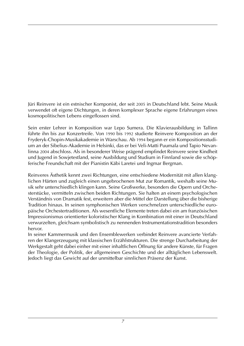Jüri Reinvere ist ein estnischer Komponist, der seit 2005 in Deutschland lebt. Seine Musik verwendet oft eigene Dichtungen, in deren komplexer Sprache eigene Erfahrungen eines kosmopolitischen Lebens eingeflossen sind.

Sein erster Lehrer in Komposition war Lepo Sumera. Die Klavierausbildung in Tallinn führte ihn bis zur Konzertreife. Von 1990 bis 1992 studierte Reinvere Komposition an der Fryderyk-Chopin-Musikakademie in Warschau. Ab 1994 begann er ein Kompositionsstudium an der Sibelius-Akademie in Helsinki, das er bei Veli-Matti Puumala und Tapio Nevanlinna 2004 abschloss. Als in besonderer Weise prägend empfindet Reinvere seine Kindheit und Jugend in Sowjetestland, seine Ausbildung und Studium in Finnland sowie die schöpferische Freundschaft mit der Pianistin Käbi Laretei und Ingmar Bergman.

Reinveres Ästhetik kennt zwei Richtungen, eine entschiedene Modernität mit allen klanglichen Härten und zugleich einen ungebrochenen Mut zur Romantik, weshalb seine Musik sehr unterschiedlich klingen kann. Seine Großwerke, besonders die Opern und Orchesterstücke, vermitteln zwischen beiden Richtungen. Sie halten an einem psychologischen Verständnis von Dramatik fest, erweitern aber die Mittel der Darstellung über die bisherige Tradition hinaus. In seinen symphonischen Werken verschmelzen unterschiedliche europäische Orchestertraditionen. Als wesentliche Elemente treten dabei ein am französischen Impressionismus orientierter koloristischer Klang in Kombination mit einer in Deutschland verwurzelten, gleichsam symbolistisch zu nennenden Instrumentationstradition besonders hervor.

In seiner Kammermusik und den Ensemblewerken verbindet Reinvere avancierte Verfahren der Klangerzeugung mit klassischen Erzählstrukturen. Die strenge Durcharbeitung der Werkgestalt geht dabei einher mit einer inhaltlichen Öffnung für andere Künste, für Fragen der Theologie, der Politik, der allgemeinen Geschichte und der alltäglichen Lebenswelt. Jedoch liegt das Gewicht auf der unmittelbar sinnlichen Präsenz der Kunst.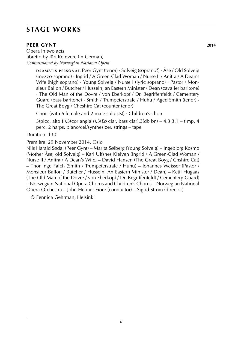## **stage works**

### **PEER GYNT** 2014

**d r a m at i s p e r s o n a e**: Peer Gynt (tenor) · Solveig (soprano?) · Åse / Old Solveig (mezzo-soprano) · Ingrid / A Green-Clad Woman / Nurse II / Anitra / A Dean's Wife (high soprano) · Young Solveig / Nurse I (lyric soprano) · Pastor / Monsieur Ballon / Butcher / Hussein, an Eastern Minister / Dean (cavalier baritone) · The Old Man of the Dovre / von Eberkopf / Dr. Begriffenfeldt / Cementery Guard (bass baritone) · Smith / Trumpeterstrale / Huhu / Aged Smith (tenor) · The Great Boyg / Cheshire Cat (counter tenor)

Choir (with 6 female and 2 male soloists)) · Children's choir

3(picc, alto fl).3(cor anglais).3(*Eb* clar, bass clar).3(db bn) – 4.3.3.1 – timp. 4 perc. 2 harps. piano/cel/synthesizer. strings – tape

Duration: 130'

Première: 29 November 2014, Oslo

Nils Harald Sødal (Peer Gynt) – Marita Sølberg (Young Solveig) – Ingebjørg Kosmo (Mother Åse, old Solveig) – Kari Ulfsnes Kleiven (Ingrid / A Green-Clad Woman / Nurse II / Anitra / A Dean's Wife) – David Hansen (The Great Boyg / Chshire Cat) – Thor Inge Falch (Smith / Trumpeterstrale / Huhu) – Johannes Weisser (Pastor / Monsieur Ballon / Butcher / Hussein, An Eastern Minister / Dean) – Ketil Hugaas (The Old Man of the Dovre / von Eberkopf / Dr. Begriffenfeldt / Cementery Guard) – Norwegian National Opera Chorus and Children's Chorus – Norwegian National Opera Orchestra – John Helmer Fiore (conductor) – Sigrid Strøm (director)

© Fennica Gehrman, Helsinki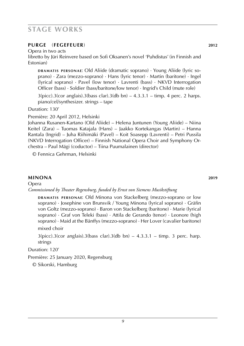### **stage works**

### **purge** (**fegefeuer**) **2012**

Opera in two acts

libretto by Jüri Reinvere based on Sofi Oksanen's novel 'Puhdistus' (in Finnish and Estonian)

**DRAMATIS PERSONAE:** Old Aliide (dramatic soprano) · Young Aliide (lyric soprano) · Zara (mezzo-soprano) · Hans (lyric tenor) · Martin (baritone) · Ingel (lyrical soprano) · Pavel (low tenor) · Lavrenti (bass) · NKVD Interrogation Officer (bass) · Soldier (bass/baritone/low tenor) · Ingrid's Child (mute role)

 $3(picc).3(cor anglais).3(bass clar).3(db bn) - 4.3.3.1 - timp. 4 perc. 2 harp.$ piano/cel/synthesizer. strings – tape

Duration: 130'

Première: 20 April 2012, Helsinki

Johanna Rusanen-Kartano (Old Aliide) – Helena Juntunen (Young Aliide) – Niina Keitel (Zara) – Tuomas Katajala (Hans) – Jaakko Kortekangas (Martin) – Hanna Rantala (Ingrid) – Juha Riihimäki (Pavel) – Koit Soasepp (Lavrenti) – Petri Pussila (NKVD Interrogation Officer) – Finnish National Opera Choir and Symphony Orchestra – Paul Mägi (coductor) – Tiina Puumalainen (director)

© Fennica Gehrman, Helsinki

### **minona 2019**

Opera

*Commissioned by Theater Regensburg, funded by Ernst von Siemens Musikstiftung*

**DRAMATIS PERSONAE:** Old Minona von Stackelberg (mezzo-soprano or low soprano) · Josephine von Brunsvik / Young Minona (lyrical soprano) · Gräfin von Goltz (mezzo-soprano) · Baron von Stackelberg (baritone) · Marie (lyrical soprano) · Graf von Teleki (bass) · Attila de Gerando (tenor) · Leonore (high soprano) · Maid at the Bánffys (mezzo-soprano) · Her Lover (cavalier baritone) mixed choir

 $3(pice).3(cor \text{ anglais}).3(bass \text{ clar}).3(db \text{ bn}) - 4.3.3.1 - timp. 3 perc. harp.$ strings

Duration: 120'

Première: 25 January 2020, Regensburg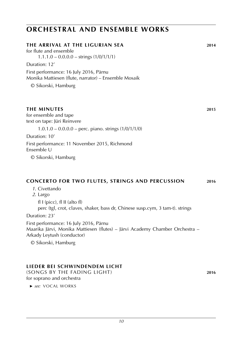### **orchestral and ensemble works**

#### **the arrival at the ligurian sea 2014**

for flute and ensemble  $1.1.1.0 - 0.0.0.0 - \text{strings} (1/0/1/1/1)$ 

Duration: 12'

First performance: 16 July 2016, Pärnu Monika Mattiesen (flute, narrator) – Ensemble Mosaik

© Sikorski, Hamburg

#### **the minutes 2015**

for ensemble and tape text on tape: Jüri Reinvere

 $1.0.1.0 - 0.0.0.0 -$  perc. piano. strings  $(1/0/1/1/0)$ 

Duration: 10'

First performance: 11 November 2015, Richmond Ensemble U

© Sikorski, Hamburg

### **concerto for two flutes, strings and percussion 2016**

*1*. Civettando

*2*. Largo

fl  $I$  (picc), fl  $II$  (alto fl) perc (tgl, crot, claves, shaker, bass dr, Chinese susp.cym, 3 tam-t). strings

Duration: 23'

First performance: 16 July 2016, Pärnu Maarika Järvi, Monika Mattiesen (flutes) – Järvi Academy Chamber Orchestra – Arkady Leytush (conductor)

© Sikorski, Hamburg

### **Lieder bei schwindendem licht**

(songs by the fading light) **2016** for soprano and orchestra

 ► *see:* VOCAL WORKS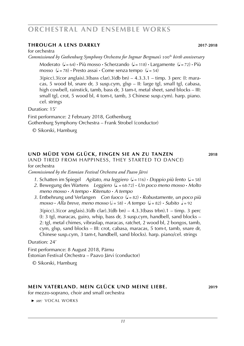### **orchestral and ensemble works**

### **Through a lens darkly 2017**-**2018**

for orchestra

*Commissioned by Gothenburg Symphony Orchestra for Ingmar Bergman's* 100th *birth anniversary*

Moderato ( $J = 64$ ) **·** Più mosso · Scherzando ( $J = 118$ ) · Largamente ( $J = 72$ ) · Più mosso  $(J = 78)$  **·** Presto assai **·** Come senza tempo  $(J = 54)$ 

 $3(pice).3(cor \text{ anglais}).3(bass \text{ clar}).3(db \text{ bn}) - 4.3.3.1 - \text{timp. 3 perc (l: mara$ cas, 5 wood bl, snare dr, 3 susp.cym, glsp – II: large tgl, small tgl, cabasa, high cowbell, rainstick, tamb, bass dr, 3 tam-t, metal sheet, sand blocks – III: small tgl, crot, 5 wood bl, 4 tom-t, tamb, 3 Chinese susp.cym). harp. piano. cel. strings

Duration: 15'

First performance: 2 February 2018, Gothenburg Gothenburg Symphony Orchestra – Frank Strobel (conductor)

© Sikorski, Hamburg

### **und müde vom glück, fingen sie an zu tanzen 2018**

(And tired from happiness, they started to dance) for orchestra

*Commissioned by the Estonian Festival Orchestra and Paavo Järvi*

- *1*. Schatten im Spiegel *Agitato, ma leggiero* ( $J = 116$ ) **·** *Doppio più lento* ( $J = 58$ )
- 2. Bewegung des Wartens *Leggiero*  $(L = 68-72) \cdot Un poco meno mosso \cdot Molto$  *meno mosso* **·** *A tempo* **·** *Ritenuto* **·** *A tempo*
- *3*. Entbehrung und Verlangen *Con fuoco* (q = 82) **·** *Robustamente, un poco più*  $mosso \cdot Alla$  breve, meno mosso ( $d = 58$ )  $\cdot$  *A tempo* ( $d = 82$ )  $\cdot$  *Subito*  $d = 92$

 $3(pice).3(cor$  anglais).3(db clar).3(db bn) – 4.3.3(bass trbn).1 – timp. 3 perc (I: 3 tgl, maracas, guiro, whip, bass dr, 3 susp.cym, handbell, sand blocks – 2: tgl, metal chimes, vibraslap, maracas, ratchet, 2 wood bl, 2 bongos, tamb, cym, glsp, sand blocks – III: crot, cabasa, maracas, 5 tom-t, tamb, snare dr, Chinese susp.cym, 3 tam-t, handbell, sand blocks). harp. piano/cel. strings

Duration: 24'

First performance: 8 August 2018, Pärnu Estonian Festival Orchestra – Paavo Järvi (conductor)

© Sikorski, Hamburg

### **mein vaterland. mein glück und meine liebe. 2019**

for mezzo-soprano, choir and small orchestra

 ► *see:* VOCAL WORKS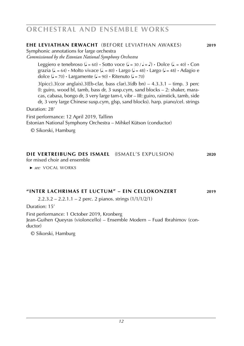### **orchestral and ensemble works**

### **ehe leviathan erwacht** (before leviathan awakes) **2019**

Symphonic annotations for large orchestra

*Commissioned by the Estonian National Symphony Orchestra*

Leggiero e tenebroso ( $J = 60$ )  $\cdot$  Sotto voce ( $J = 30 / J = J$ )  $\cdot$  Dolce ( $J = 40$ )  $\cdot$  Con grazia ( $d = 64$ ) **·** Molto vivace ( $d = 80$ ) **·** Largo ( $d = 48$ ) **·** Largo ( $d = 48$ ) **·** Adagio e dolce  $(\sqrt{2} = 70) \cdot$  Largamente  $(\sqrt{2} = 90) \cdot$  Ritenuto  $(\sqrt{2} = 70)$ 

 $3(pice).3(cor \text{ anglais}).3(Eb-clar, \text{ bass } clar).3(db \text{ bn}) - 4.3.3.1 - timp. 3 perc$ (I: guiro, wood bl, tamb, bass dr, 3 susp.cym, sand blocks – 2: shaker, maracas, cabasa, bongo dr, 3 very large tam-t, vibr – III: guiro, rainstick, tamb, side dr, 3 very large Chinese susp.cym, glsp, sand blocks). harp. piano/cel. strings

Duration: 28'

First performance: 12 April 2019, Tallinn

Estonian National Symphony Orchestra – Mihkel Kütson (conductor)

© Sikorski, Hamburg

### **die vertreibung des ismael** (ismael's expulsion) **2020**

for mixed choir and ensemble

 ► *see:* VOCAL WORKS

### **"inter lachrimas et luctum" – ein cellokonzert 2019**

2.2.3.2 – 2.2.1.1 – 2 perc. 2 pianos. strings  $(1/1/1/2/1)$ 

Duration: 15'

First performance: 1 October 2019, Kronberg Jean-Guihen Queyras (violoncello) – Ensemble Modern – Fuad Ibrahimov (conductor)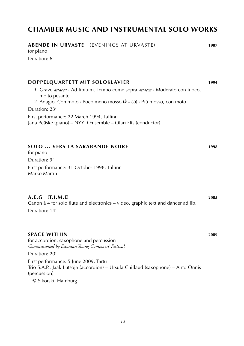| <b>ABENDE IN URVASTE</b> (EVENINGS AT URVASTE)<br>for piano                                                                                                                       | 1987 |
|-----------------------------------------------------------------------------------------------------------------------------------------------------------------------------------|------|
| Duration: 6'                                                                                                                                                                      |      |
| DOPPELQUARTETT MIT SOLOKLAVIER                                                                                                                                                    | 1994 |
| 1. Grave attacca · Ad libitum. Tempo come sopra attacca · Moderato con fuoco,<br>molto pesante<br>2. Adagio. Con moto · Poco meno mosso ( $\triangle$ = 60) · Più mosso, con moto |      |
| Duration: 23'                                                                                                                                                                     |      |
| First performance: 22 March 1994, Tallinn<br>Jana Peäske (piano) - NYYD Ensemble - Olari Elts (conductor)                                                                         |      |
|                                                                                                                                                                                   |      |
| <b>SOLO  VERS LA SARABANDE NOIRE</b><br>for piano                                                                                                                                 | 1998 |
| Duration: 9'                                                                                                                                                                      |      |
| First performance: 31 October 1998, Tallinn<br>Marko Martin                                                                                                                       |      |
| A.E.G<br>(T.I.M.E)<br>Canon à 4 for solo flute and electronics - video, graphic text and dancer ad lib.<br>Duration: 14'                                                          | 2005 |
| <b>SPACE WITHIN</b><br>for accordion, saxophone and percussion<br>Commissioned by Estonian Young Composers' Festival                                                              | 2009 |
| Duration: 20'                                                                                                                                                                     |      |
| First performance: 5 June 2009, Tartu<br>Trio S.A.P.: Jaak Lutsoja (accordion) – Ursula Chillaud (saxophone) – Anto Õnnis<br>(percussion)                                         |      |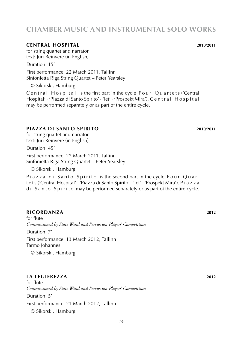#### **central hospital 2010**/**2011**

for string quartet and narrator text: Jüri Reinvere (in English)

Duration: 15'

First performance: 22 March 2011, Tallinn Sinfonietta Riga String Quartet – Peter Yearsley

© Sikorski, Hamburg

Central Hospital is the first part in the cycle Four Quartets ('Central Hospital' · 'Piazza di Santo Spirito' · 'let' · 'Prospekt Mira'). C e n t r a l H o s p i t a l may be performed separately or as part of the entire cycle.

### **piazza di santo spirito 2010**/**2011**

for string quartet and narrator text: Jüri Reinvere (in English)

Duration: 45'

First performance: 22 March 2011, Tallinn Sinfonietta Riga String Quartet – Peter Yearsley

© Sikorski, Hamburg

Piazza di Santo Spirito is the second part in the cycle Four Quart e t s ('Central Hospital' · 'Piazza di Santo Spirito' · 'let' · 'Prospekt Mira'). P i a z z a d i S a n t o S p i r i t o may be performed separately or as part of the entire cycle.

### **ricordanza 2012**

for flute *Commissioned by State Wind and Percussion Players' Competition* Duration: 7'

First performance: 13 March 2012, Tallinn Tarmo Johannes

© Sikorski, Hamburg

### **la legierezza 2012**

for flute *Commissioned by State Wind and Percussion Players' Competition* Duration: 5' First performance: 21 March 2012, Tallinn © Sikorski, Hamburg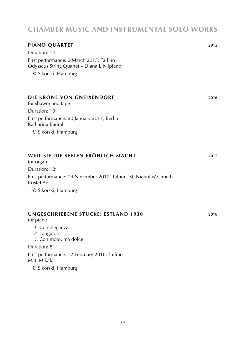| PIANO QUARTET<br>Duration: 14'<br>First performance: 2 March 2015, Tallinn<br>Odysseus String Quartet - Diana Liiv (piano)<br>© Sikorski, Hamburg | 2015 |
|---------------------------------------------------------------------------------------------------------------------------------------------------|------|
| DIE KRONE VON GNEIXENDORF<br>for shawm and tape<br>Duration: 10'<br>First performance: 20 January 2017, Berlin                                    | 2016 |
| Katharina Bäuml<br>© Sikorski, Hamburg                                                                                                            |      |
| WEIL SIE DIE SEELEN FRÖHLICH MACHT<br>for organ                                                                                                   | 2017 |
| Duration: 12'<br>First performance: 14 November 2017, Tallinn, St. Nicholas' Church<br>Kristel Aer<br>© Sikorski, Hamburg                         |      |
| UNGESCHRIEBENE STÜCKE: ESTLAND 1930<br>for piano<br>1. Con eleganza<br>2. Languido<br>3. Con moto, ma dolce<br>Duration: 8'                       | 2018 |

First performance: 12 February 2018, Tallinn Mati Mikalai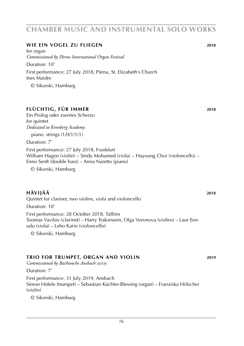#### *16*

## **chamber music and instrumental solo works**

### **wie ein vogel zu fliegen 2018**

for organ *Commissioned by Pärnu International Organ Festival* Duration: 10' First performance: 27 July 2018, Pärnu, St. Elizabeth's Church Ines Maidre

© Sikorski, Hamburg

### **flüchtig, für immer 2018**

Ein Prolog oder zweites Scherzo for quintet *Dedicated to Kronberg Academy*

piano. strings (1/0/1/1/1)

Duration: 7'

First performance: 27 July 2018, Frankfurt William Hagen (violin) – Sindy Mohamed (viola) – Hayoung Choi (violoncello) – Enno Senft (double bass) – Anna Naretto (piano)

© Sikorski, Hamburg

### **hävijää 2018**

Quintet for clarinet, two violins, viola and violoncello

Duration: 10'

First performance: 28 October 2018, Tallinn Toomas Vavilov (clarinet) – Harry Traksmann, Olga Voronova (violins) – Laur Eensalu (viola) – Leho Karin (violoncello)

© Sikorski, Hamburg

### **trio for trumpet, Organ and violin 2019**

*Commissioned by Bachwoche Ansbach* 2019

Duration: 7'

First performance: 31 July 2019, Ansbach Simon Höfele (trumpet) – Sebastian Küchler-Blessing (organ) – Franziska Hölscher (violin)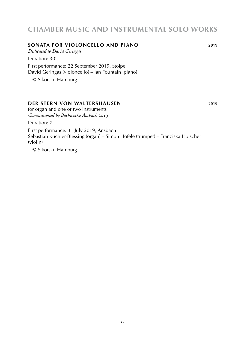### **sonata for violoncello and piano 2019**

*Dedicated to David Geringas*

Duration: 30'

First performance: 22 September 2019, Stolpe David Geringas (violoncello) – Ian Fountain (piano)

© Sikorski, Hamburg

### **der stern von waltershausen 2019**

for organ and one or two instruments *Commissioned by Bachwoche Ansbach* 2019

Duration: 7'

First performance: 31 July 2019, Ansbach Sebastian Küchler-Blessing (organ) – Simon Höfele (trumpet) – Franziska Hölscher (violin)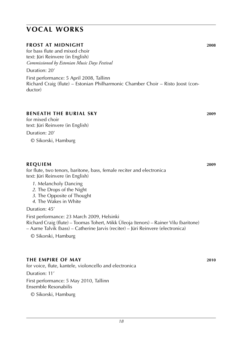# **vocal works**

### **frost at midnight 2008**

for bass flute and mixed choir text: Jüri Reinvere (in English) *Commissioned by Estonian Music Days Festival*

Duration: 20'

First performance: 5 April 2008, Tallinn Richard Craig (flute) – Estonian Philharmonic Chamber Choir – Risto Joost (conductor)

### **beneath the burial sky 2009**

for mixed choir text: Jüri Reinvere (in English) Duration: 20' © Sikorski, Hamburg

### **REQUIEM** 2009

for flute, two tenors, baritone, bass, female reciter and electronica text: Jüri Reinvere (in English)

- *1*. Melancholy Dancing
- *2*. The Drops of the Night
- *3*. The Opposite of Thought
- *4*. The Wakes in White

Duration: 45'

First performance: 23 March 2009, Helsinki Richard Craig (flute) – Toomas Tohert, Mikk Üleoja (tenors) – Rainer Vilu (baritone) – Aarne Talvik (bass) – Catherine Jarvis (reciter) – Jüri Reinvere (electronica)

© Sikorski, Hamburg

### **the empire of may 2010**

for voice, flute, kantele, violoncello and electronica

Duration: 11'

First performance: 5 May 2010, Tallinn Ensemble Resonabilis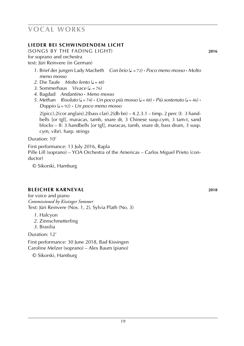# **vocal works**

### **Lieder bei schwindendem licht**

(songs by the fading light) **2016**

for soprano and orchestra

text: Jüri Reinvere (in German)

- *1*. Brief der jungen Lady Macbeth *Con brio* (q . = 72) **·** *Poco meno mosso* **·** *Molto meno mosso*
- *2*. Die Taufe *Molto lento* ( $\sqrt{=}$  = 48)
- *3*. Sommerhaus *Vivace* (*J.* = 76)
- *4*. Bagdad *Andantino* **·** *Meno mosso*
- *5*. Methan *Risoluto* ( $J = 74$ )  $\cdot$  *Un poco più mosso* ( $J = 88$ )  $\cdot$  *Più sostenuto* ( $J = 46$ )  $\cdot$  $Doppio (J = 92) \cdot Un poco meno mosso$

 $2(pice).2(cor \text{ anglais}).2(bass \text{ clar}).2(db \text{ bn}) - 4.2.3.1 - \text{timp. 2 perc (l: 3 hand$ bells [or tgl], maracas, tamb, snare dr, 3 Chinese susp.cym, 3 tam-t, sand blocks – II: 3 handbells [or tgl], maracas, tamb, snare dr, bass drum, 3 susp. cym, vibr). harp. strings

Duration: 10'

First performance: 13 July 2016, Rapla

Pille Lill (soprano) – YOA Orchestra of the Americas – Carlos Miguel Prieto (conductor)

© Sikorski, Hamburg

### **bleicher Karneval 2018**

for voice and piano *Commissioned by Kissinger Sommer* Text: Jüri Reinvere (Nos. 1, 2), Sylvia Plath (No. 3)

- *1*. Halcyon
- *2*. Zinnschmetterling
- *3*. Brasilia

Duration: 12'

First performance: 30 June 2018, Bad Kissingen Caroline Melzer (soprano) – Alex Baum (piano)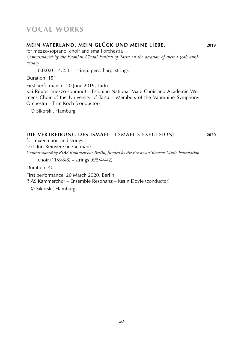# **vocal works**

### **mein vaterland. mein glück und meine liebe. 2019**

for mezzo-soprano, choir and small orchestra Commissioned by the Estonian Choral Festival of Tartu on the occasion of their 150th anni*versary*

 $0.0.0.0 - 4.2.3.1 -$  timp. perc. harp. strings

Duration: 15'

First performance: 20 June 2019, Tartu Kai Rüütel (mezzo-soprano) – Estonian National Male Choir and Academic Womens Choir of the University of Tartu – Members of the Vanmuine Symphony Orchestra – Triin Koch (conductor)

© Sikorski, Hamburg

### **die vertreibung des ismael** (ismael's expulsion) **2020**

for mixed choir and strings text: Jüri Reinvere (in German) *Commissioned by RIAS Kammerchor Berlin, funded by the Ernst von Siemens Music Foundation*

choir (11/8/8/8) – strings (6/5/4/4/2)

Duration: 40'

First performance: 20 March 2020, Berlin RIAS Kammerchor – Ensemble Resonanz – Justin Doyle (conductor)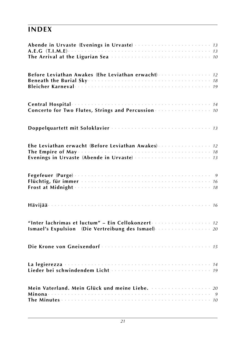# **index**

| Before Leviathan Awakes (Ehe Leviathan erwacht)  12                                                       |  |  |  |  |  |  |
|-----------------------------------------------------------------------------------------------------------|--|--|--|--|--|--|
|                                                                                                           |  |  |  |  |  |  |
|                                                                                                           |  |  |  |  |  |  |
|                                                                                                           |  |  |  |  |  |  |
| Ehe Leviathan erwacht (Before Leviathan Awakes)  12                                                       |  |  |  |  |  |  |
|                                                                                                           |  |  |  |  |  |  |
|                                                                                                           |  |  |  |  |  |  |
|                                                                                                           |  |  |  |  |  |  |
|                                                                                                           |  |  |  |  |  |  |
| "Inter lachrimas et luctum" - Ein Cellokonzert  12<br>Ismael's Expulsion (Die Vertreibung des Ismael)  20 |  |  |  |  |  |  |
|                                                                                                           |  |  |  |  |  |  |
|                                                                                                           |  |  |  |  |  |  |
|                                                                                                           |  |  |  |  |  |  |
|                                                                                                           |  |  |  |  |  |  |